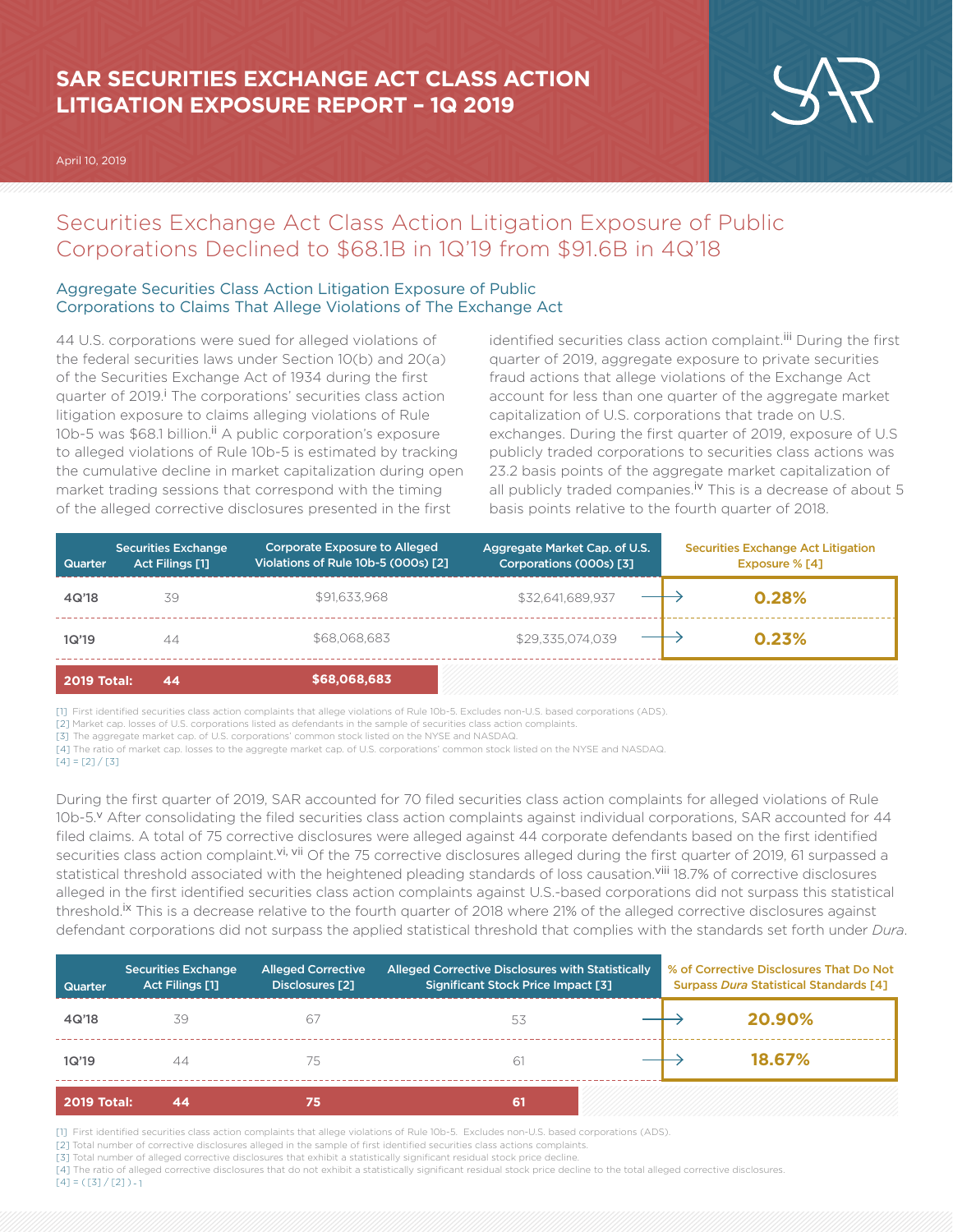# **SAR SECURITIES EXCHANGE ACT CLASS ACTION LITIGATION EXPOSURE REPORT – 1Q 2019**

April 10, 2019



## Securities Exchange Act Class Action Litigation Exposure of Public Corporations Declined to \$68.1B in 1Q'19 from \$91.6B in 4Q'18

## Aggregate Securities Class Action Litigation Exposure of Public Corporations to Claims That Allege Violations of The Exchange Act

44 U.S. corporations were sued for alleged violations of the federal securities laws under Section 10(b) and 20(a) of the Securities Exchange Act of 1934 during the first quarter of 2019.<sup>i</sup> The corporations' securities class action litigation exposure to claims alleging violations of Rule 10b-5 was \$68.1 billion.<sup>ii</sup> A public corporation's exposure to alleged violations of Rule 10b-5 is estimated by tracking the cumulative decline in market capitalization during open market trading sessions that correspond with the timing of the alleged corrective disclosures presented in the first

identified securities class action complaint.<sup>iii</sup> During the first quarter of 2019, aggregate exposure to private securities fraud actions that allege violations of the Exchange Act account for less than one quarter of the aggregate market capitalization of U.S. corporations that trade on U.S. exchanges. During the first quarter of 2019, exposure of U.S publicly traded corporations to securities class actions was 23.2 basis points of the aggregate market capitalization of all publicly traded companies.<sup>iv</sup> This is a decrease of about 5 basis points relative to the fourth quarter of 2018.

| <b>Quarter</b>     | <b>Securities Exchange</b><br>Act Filings [1] | <b>Corporate Exposure to Alleged</b><br>Violations of Rule 10b-5 (000s) [2] | Aggregate Market Cap. of U.S.<br>Corporations (000s) [3] | <b>Securities Exchange Act Litigation</b><br>Exposure % [4] |  |
|--------------------|-----------------------------------------------|-----------------------------------------------------------------------------|----------------------------------------------------------|-------------------------------------------------------------|--|
| 4Q'18              | 39                                            | \$91,633,968                                                                | \$32.641.689.937                                         | 0.28%                                                       |  |
| 1Q'19              | 44                                            | \$68,068,683                                                                | \$29,335,074,039                                         | 0.23%                                                       |  |
| <b>2019 Total:</b> | 44                                            | \$68,068,683                                                                |                                                          |                                                             |  |

[1] First identified securities class action complaints that allege violations of Rule 10b-5. Excludes non-U.S. based corporations (ADS).

[2] Market cap. losses of U.S. corporations listed as defendants in the sample of securities class action complaints.

[3] The aggregate market cap. of U.S. corporations' common stock listed on the NYSE and NASDAQ.

During the first quarter of 2019, SAR accounted for 70 filed securities class action complaints for alleged violations of Rule 10b-5.<sup>v</sup> After consolidating the filed securities class action complaints against individual corporations, SAR accounted for 44 filed claims. A total of 75 corrective disclosures were alleged against 44 corporate defendants based on the first identified securities class action complaint.<sup>vi, vii</sup> Of the 75 corrective disclosures alleged during the first quarter of 2019, 61 surpassed a statistical threshold associated with the heightened pleading standards of loss causation.<sup>viii</sup> 18.7% of corrective disclosures alleged in the first identified securities class action complaints against U.S.-based corporations did not surpass this statistical threshold.<sup>Ix</sup> This is a decrease relative to the fourth quarter of 2018 where 21% of the alleged corrective disclosures against defendant corporations did not surpass the applied statistical threshold that complies with the standards set forth under *Dura*.

| Quarter            | <b>Securities Exchange</b><br><b>Act Filings [1]</b> | <b>Alleged Corrective</b><br>Disclosures [2] | Alleged Corrective Disclosures with Statistically<br><b>Significant Stock Price Impact [3]</b> | % of Corrective Disclosures That Do Not<br><b>Surpass Dura Statistical Standards [4]</b> |  |
|--------------------|------------------------------------------------------|----------------------------------------------|------------------------------------------------------------------------------------------------|------------------------------------------------------------------------------------------|--|
| 4Q'18              | 39                                                   | 67                                           | 53                                                                                             | 20.90%                                                                                   |  |
| 1Q'19              | 44                                                   | 75                                           | 61                                                                                             | 18.67%                                                                                   |  |
| <b>2019 Total:</b> | 44                                                   | 75                                           | 61                                                                                             |                                                                                          |  |

[1] First identified securities class action complaints that allege violations of Rule 10b-5. Excludes non-U.S. based corporations (ADS).

[2] Total number of corrective disclosures alleged in the sample of first identified securities class actions complaints.

[3] Total number of alleged corrective disclosures that exhibit a statistically significant residual stock price decline.

[4] The ratio of alleged corrective disclosures that do not exhibit a statistically significant residual stock price decline to the total alleged corrective disclosures.  $[4] = ([3]/[2]) - 1$ 

<sup>[4]</sup> The ratio of market cap. losses to the aggregte market cap. of U.S. corporations' common stock listed on the NYSE and NASDAQ.

 $[4] = [2]/[3]$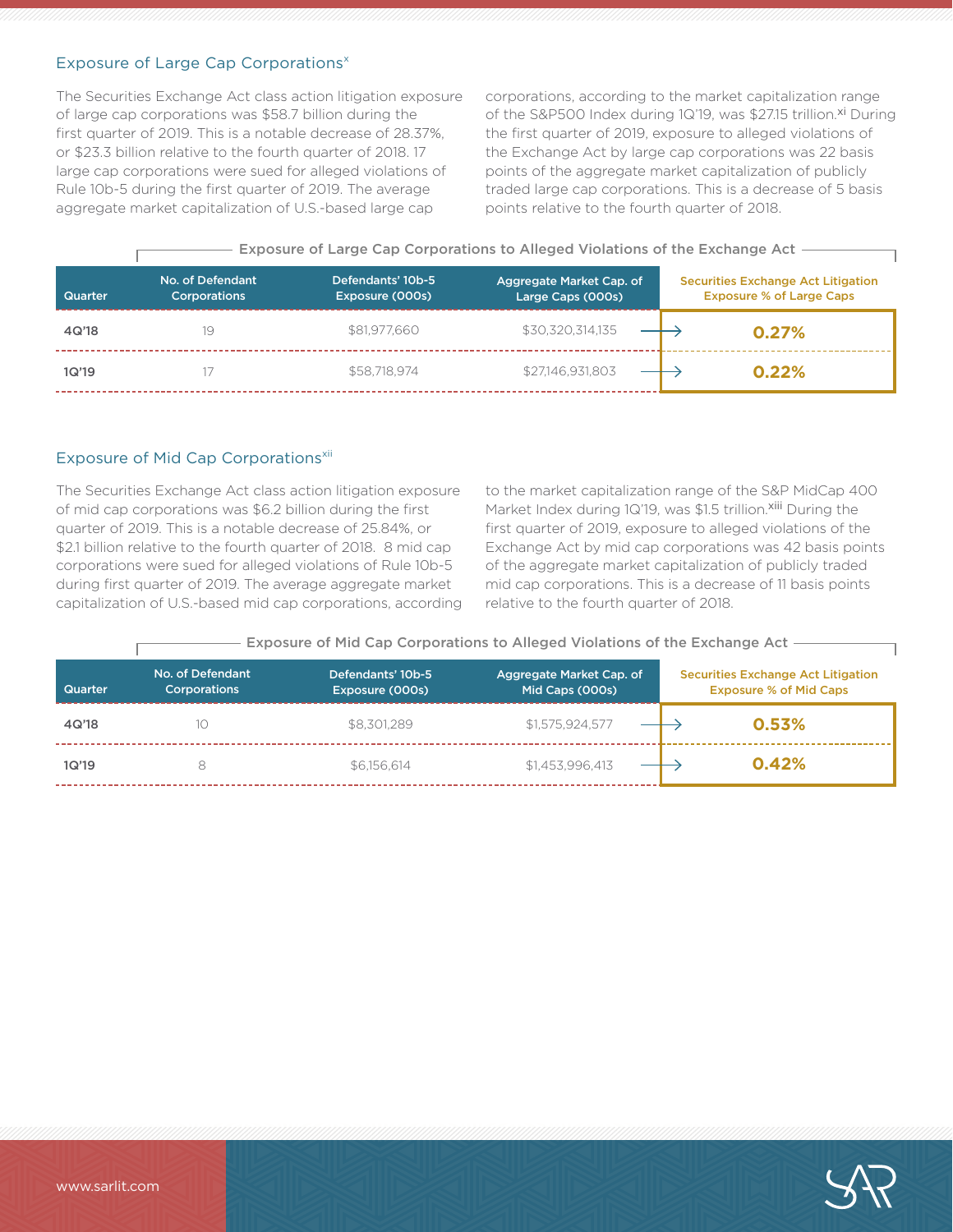## Exposure of Large Cap Corporations<sup>x</sup>

The Securities Exchange Act class action litigation exposure of large cap corporations was \$58.7 billion during the first quarter of 2019. This is a notable decrease of 28.37%, or \$23.3 billion relative to the fourth quarter of 2018. 17 large cap corporations were sued for alleged violations of Rule 10b-5 during the first quarter of 2019. The average aggregate market capitalization of U.S.-based large cap

corporations, according to the market capitalization range of the S&P500 Index during 1Q'19, was \$27.15 trillion.<sup>xi</sup> During the first quarter of 2019, exposure to alleged violations of the Exchange Act by large cap corporations was 22 basis points of the aggregate market capitalization of publicly traded large cap corporations. This is a decrease of 5 basis points relative to the fourth quarter of 2018.

- Exposure of Large Cap Corporations to Alleged Violations of the Exchange Act -

| <b>Quarter</b> | No. of Defendant<br><b>Corporations</b> | Defendants' 10b-5<br>Exposure (000s) | Aggregate Market Cap. of<br>Large Caps (000s) | <b>Securities Exchange Act Litigation</b><br><b>Exposure % of Large Caps</b> |
|----------------|-----------------------------------------|--------------------------------------|-----------------------------------------------|------------------------------------------------------------------------------|
| 4Q'18          | 19                                      | \$81,977,660                         | \$30,320,314,135                              | 0.27%                                                                        |
| 1Q'19          |                                         | \$58,718,974                         | \$27,146,931,803                              | 0.22%                                                                        |

#### Exposure of Mid Cap Corporations<sup>xii</sup>

The Securities Exchange Act class action litigation exposure of mid cap corporations was \$6.2 billion during the first quarter of 2019. This is a notable decrease of 25.84%, or \$2.1 billion relative to the fourth quarter of 2018. 8 mid cap corporations were sued for alleged violations of Rule 10b-5 during first quarter of 2019. The average aggregate market capitalization of U.S.-based mid cap corporations, according

to the market capitalization range of the S&P MidCap 400 Market Index during 1Q'19, was \$1.5 trillion.<sup>xiii</sup> During the first quarter of 2019, exposure to alleged violations of the Exchange Act by mid cap corporations was 42 basis points of the aggregate market capitalization of publicly traded mid cap corporations. This is a decrease of 11 basis points relative to the fourth quarter of 2018.

- Exposure of Mid Cap Corporations to Alleged Violations of the Exchange Act -

| <b>Quarter</b> | No. of Defendant<br><b>Corporations</b> | Defendants' 10b-5<br>Exposure (000s) | Aggregate Market Cap. of<br>Mid Caps (000s) | <b>Securities Exchange Act Litigation</b><br><b>Exposure % of Mid Caps</b> |
|----------------|-----------------------------------------|--------------------------------------|---------------------------------------------|----------------------------------------------------------------------------|
| 4Q'18          | 10                                      | \$8.301.289                          | \$1.575.924.577                             | 0.53%                                                                      |
| 1Q'19          |                                         | \$6.156.614                          | \$1.453.996.413                             | 0.42%                                                                      |